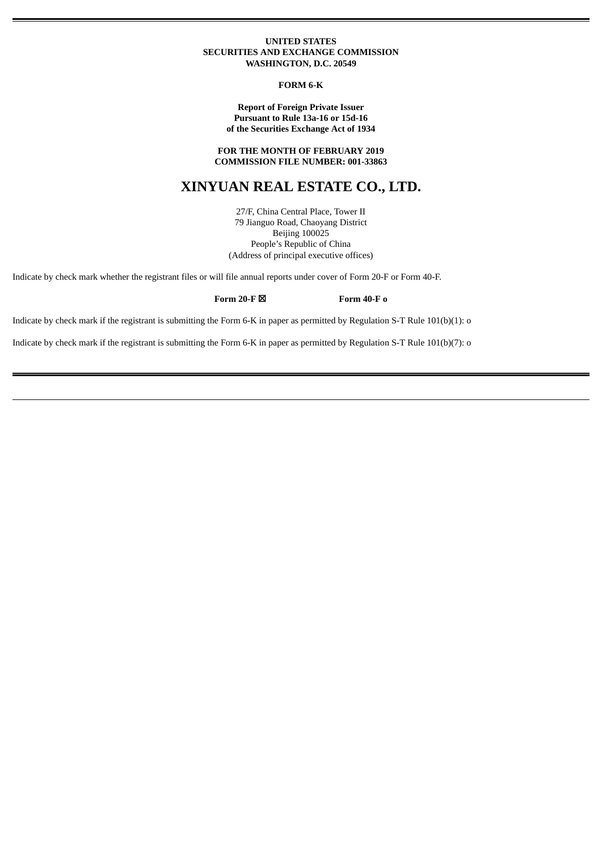### **UNITED STATES SECURITIES AND EXCHANGE COMMISSION WASHINGTON, D.C. 20549**

#### **FORM 6-K**

# **Report of Foreign Private Issuer Pursuant to Rule 13a-16 or 15d-16 of the Securities Exchange Act of 1934**

**FOR THE MONTH OF FEBRUARY 2019 COMMISSION FILE NUMBER: 001-33863**

# **XINYUAN REAL ESTATE CO., LTD.**

27/F, China Central Place, Tower II 79 Jianguo Road, Chaoyang District Beijing 100025 People's Republic of China (Address of principal executive offices)

Indicate by check mark whether the registrant files or will file annual reports under cover of Form 20-F or Form 40-F.

# **Form 20-F** ☒ **Form 40-F o**

Indicate by check mark if the registrant is submitting the Form 6-K in paper as permitted by Regulation S-T Rule 101(b)(1): o

Indicate by check mark if the registrant is submitting the Form 6-K in paper as permitted by Regulation S-T Rule 101(b)(7): o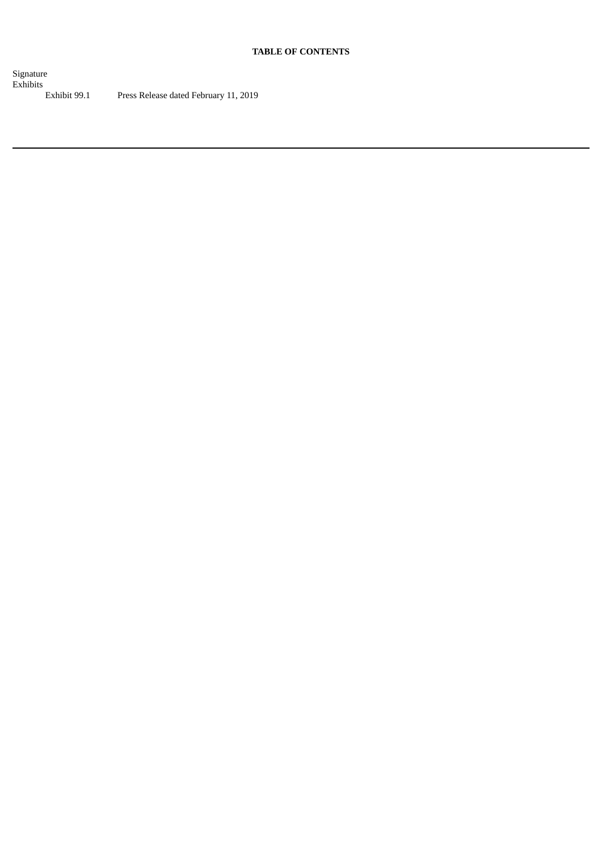# **TABLE OF CONTENTS**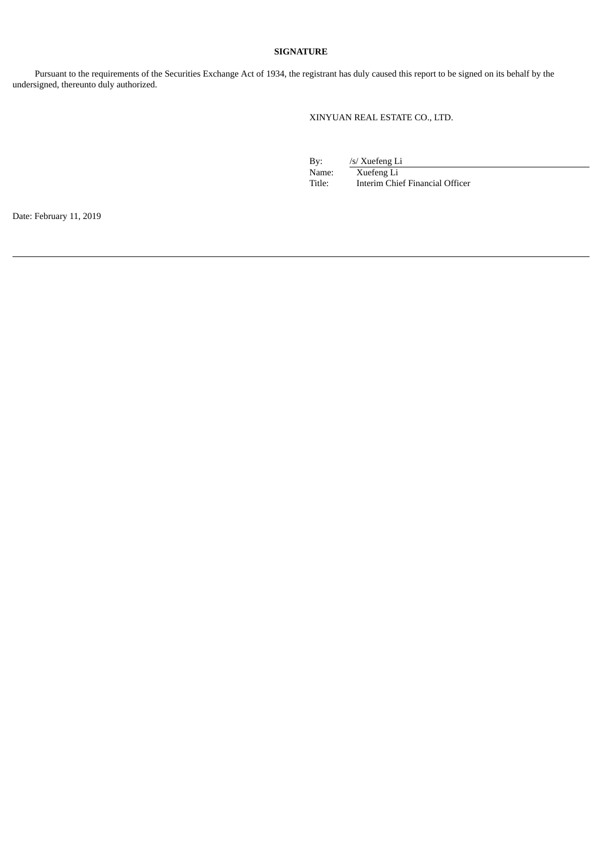# **SIGNATURE**

Pursuant to the requirements of the Securities Exchange Act of 1934, the registrant has duly caused this report to be signed on its behalf by the undersigned, thereunto duly authorized.

XINYUAN REAL ESTATE CO., LTD.

By: /s/ Xuefeng Li

Name: Xuefeng Li<br>Title: Interim Chie Interim Chief Financial Officer

Date: February 11, 2019